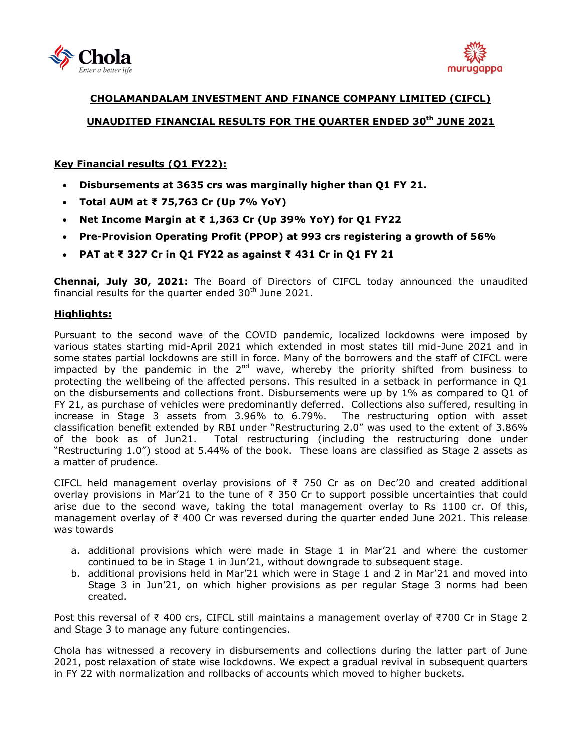



# **CHOLAMANDALAM INVESTMENT AND FINANCE COMPANY LIMITED (CIFCL) UNAUDITED FINANCIAL RESULTS FOR THE QUARTER ENDED 30 th JUNE 2021**

## **Key Financial results (Q1 FY22):**

- **Disbursements at 3635 crs was marginally higher than Q1 FY 21.**
- **Total AUM at ₹ 75,763 Cr (Up 7% YoY)**
- **Net Income Margin at ₹ 1,363 Cr (Up 39% YoY) for Q1 FY22**
- **Pre-Provision Operating Profit (PPOP) at 993 crs registering a growth of 56%**
- **PAT at ₹ 327 Cr in Q1 FY22 as against ₹ 431 Cr in Q1 FY 21**

**Chennai, July 30, 2021:** The Board of Directors of [CIFCL](http://www.cholamandalam.com/) today announced the unaudited financial results for the quarter ended  $30<sup>th</sup>$  June 2021.

### **Highlights:**

Pursuant to the second wave of the COVID pandemic, localized lockdowns were imposed by various states starting mid-April 2021 which extended in most states till mid-June 2021 and in some states partial lockdowns are still in force. Many of the borrowers and the staff of CIFCL were impacted by the pandemic in the  $2<sup>nd</sup>$  wave, whereby the priority shifted from business to protecting the wellbeing of the affected persons. This resulted in a setback in performance in Q1 on the disbursements and collections front. Disbursements were up by 1% as compared to Q1 of FY 21, as purchase of vehicles were predominantly deferred. Collections also suffered, resulting in increase in Stage 3 assets from 3.96% to 6.79%. The restructuring option with asset classification benefit extended by RBI under "Restructuring 2.0" was used to the extent of 3.86% of the book as of Jun21. Total restructuring (including the restructuring done under "Restructuring 1.0") stood at 5.44% of the book. These loans are classified as Stage 2 assets as a matter of prudence.

CIFCL held management overlay provisions of  $\overline{z}$  750 Cr as on Dec'20 and created additional overlay provisions in Mar'21 to the tune of  $\bar{\tau}$  350 Cr to support possible uncertainties that could arise due to the second wave, taking the total management overlay to Rs 1100 cr. Of this, management overlay of ₹ 400 Cr was reversed during the quarter ended June 2021. This release was towards

- a. additional provisions which were made in Stage 1 in Mar'21 and where the customer continued to be in Stage 1 in Jun'21, without downgrade to subsequent stage.
- b. additional provisions held in Mar'21 which were in Stage 1 and 2 in Mar'21 and moved into Stage 3 in Jun'21, on which higher provisions as per regular Stage 3 norms had been created.

Post this reversal of ₹ 400 crs, CIFCL still maintains a management overlay of ₹700 Cr in Stage 2 and Stage 3 to manage any future contingencies.

Chola has witnessed a recovery in disbursements and collections during the latter part of June 2021, post relaxation of state wise lockdowns. We expect a gradual revival in subsequent quarters in FY 22 with normalization and rollbacks of accounts which moved to higher buckets.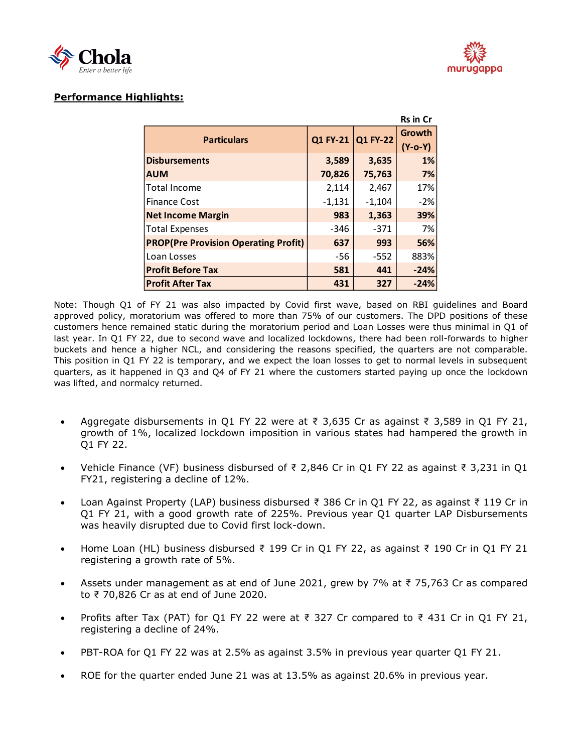



## **Performance Highlights:**

| <b>Rs in Cr</b>                             |          |                 |                     |  |  |
|---------------------------------------------|----------|-----------------|---------------------|--|--|
| <b>Particulars</b>                          | Q1 FY-21 | <b>Q1 FY-22</b> | Growth<br>$(Y-o-Y)$ |  |  |
| <b>Disbursements</b>                        | 3,589    | 3,635           | 1%                  |  |  |
| <b>AUM</b>                                  | 70,826   | 75,763          | 7%                  |  |  |
| <b>Total Income</b>                         | 2,114    | 2,467           | 17%                 |  |  |
| <b>Finance Cost</b>                         | $-1,131$ | $-1,104$        | $-2%$               |  |  |
| <b>Net Income Margin</b>                    | 983      | 1,363           | 39%                 |  |  |
| <b>Total Expenses</b>                       | $-346$   | $-371$          | 7%                  |  |  |
| <b>PROP(Pre Provision Operating Profit)</b> | 637      | 993             | 56%                 |  |  |
| Loan Losses                                 | -56      | $-552$          | 883%                |  |  |
| <b>Profit Before Tax</b>                    | 581      | 441             | $-24%$              |  |  |
| <b>Profit After Tax</b>                     | 431      | 327             | $-24%$              |  |  |

Note: Though Q1 of FY 21 was also impacted by Covid first wave, based on RBI guidelines and Board approved policy, moratorium was offered to more than 75% of our customers. The DPD positions of these customers hence remained static during the moratorium period and Loan Losses were thus minimal in Q1 of last year. In Q1 FY 22, due to second wave and localized lockdowns, there had been roll-forwards to higher buckets and hence a higher NCL, and considering the reasons specified, the quarters are not comparable. This position in Q1 FY 22 is temporary, and we expect the loan losses to get to normal levels in subsequent quarters, as it happened in Q3 and Q4 of FY 21 where the customers started paying up once the lockdown was lifted, and normalcy returned.

- Aggregate disbursements in Q1 FY 22 were at  $\overline{\ell}$  3,635 Cr as against  $\overline{\ell}$  3,589 in Q1 FY 21, growth of 1%, localized lockdown imposition in various states had hampered the growth in Q1 FY 22.
- Vehicle Finance (VF) business disbursed of ₹ 2,846 Cr in Q1 FY 22 as against ₹ 3,231 in Q1 FY21, registering a decline of 12%.
- Loan Against Property (LAP) business disbursed ₹ 386 Cr in Q1 FY 22, as against ₹ 119 Cr in Q1 FY 21, with a good growth rate of 225%. Previous year Q1 quarter LAP Disbursements was heavily disrupted due to Covid first lock-down.
- Home Loan (HL) business disbursed ₹ 199 Cr in Q1 FY 22, as against ₹ 190 Cr in Q1 FY 21 registering a growth rate of 5%.
- Assets under management as at end of June 2021, grew by 7% at ₹ 75,763 Cr as compared to ₹ 70,826 Cr as at end of June 2020.
- Profits after Tax (PAT) for Q1 FY 22 were at  $\overline{\xi}$  327 Cr compared to  $\overline{\xi}$  431 Cr in Q1 FY 21, registering a decline of 24%.
- PBT-ROA for Q1 FY 22 was at 2.5% as against 3.5% in previous year quarter Q1 FY 21.
- ROE for the quarter ended June 21 was at 13.5% as against 20.6% in previous year.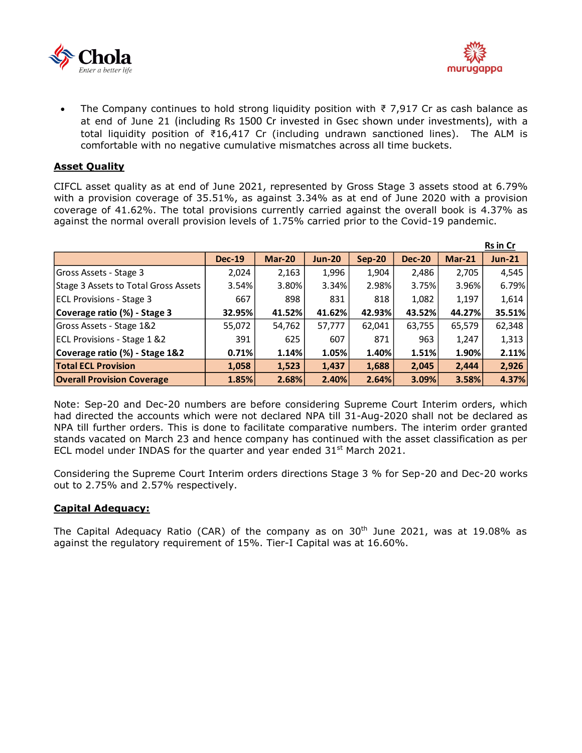



The Company continues to hold strong liquidity position with  $\bar{\tau}$  7,917 Cr as cash balance as at end of June 21 (including Rs 1500 Cr invested in Gsec shown under investments), with a total liquidity position of ₹16,417 Cr (including undrawn sanctioned lines). The ALM is comfortable with no negative cumulative mismatches across all time buckets.

### **Asset Quality**

CIFCL asset quality as at end of June 2021, represented by Gross Stage 3 assets stood at 6.79% with a provision coverage of 35.51%, as against 3.34% as at end of June 2020 with a provision coverage of 41.62%. The total provisions currently carried against the overall book is 4.37% as against the normal overall provision levels of 1.75% carried prior to the Covid-19 pandemic.

|                                        |               |               |               |          |               |          | <b>Rs</b> in Cr |
|----------------------------------------|---------------|---------------|---------------|----------|---------------|----------|-----------------|
|                                        | <b>Dec-19</b> | <b>Mar-20</b> | <b>Jun-20</b> | $Sep-20$ | <b>Dec-20</b> | $Mar-21$ | <b>Jun-21</b>   |
| Gross Assets - Stage 3                 | 2,024         | 2,163         | 1,996         | 1,904    | 2,486         | 2,705    | 4,545           |
| Stage 3 Assets to Total Gross Assets   | 3.54%         | 3.80%         | 3.34%         | 2.98%    | 3.75%         | 3.96%    | 6.79%           |
| <b>ECL Provisions - Stage 3</b>        | 667           | 898           | 831           | 818      | 1,082         | 1,197    | 1,614           |
| Coverage ratio (%) - Stage 3           | 32.95%        | 41.52%        | 41.62%        | 42.93%   | 43.52%        | 44.27%   | 35.51%          |
| Gross Assets - Stage 1&2               | 55,072        | 54,762        | 57,777        | 62,041   | 63,755        | 65,579   | 62,348          |
| <b>ECL Provisions - Stage 1 &amp;2</b> | 391           | 625           | 607           | 871      | 963           | 1,247    | 1,313           |
| Coverage ratio (%) - Stage 1&2         | 0.71%         | 1.14%         | 1.05%         | 1.40%    | 1.51%         | 1.90%    | 2.11%           |
| <b>Total ECL Provision</b>             | 1,058         | 1,523         | 1,437         | 1,688    | 2,045         | 2,444    | 2,926           |
| <b>Overall Provision Coverage</b>      | 1.85%         | 2.68%         | 2.40%         | 2.64%    | 3.09%         | 3.58%    | 4.37%           |

Note: Sep-20 and Dec-20 numbers are before considering Supreme Court Interim orders, which had directed the accounts which were not declared NPA till 31-Aug-2020 shall not be declared as NPA till further orders. This is done to facilitate comparative numbers. The interim order granted stands vacated on March 23 and hence company has continued with the asset classification as per ECL model under INDAS for the quarter and year ended  $31<sup>st</sup>$  March 2021.

Considering the Supreme Court Interim orders directions Stage 3 % for Sep-20 and Dec-20 works out to 2.75% and 2.57% respectively.

### **Capital Adequacy:**

The Capital Adequacy Ratio (CAR) of the company as on  $30<sup>th</sup>$  June 2021, was at 19.08% as against the regulatory requirement of 15%. Tier-I Capital was at 16.60%.